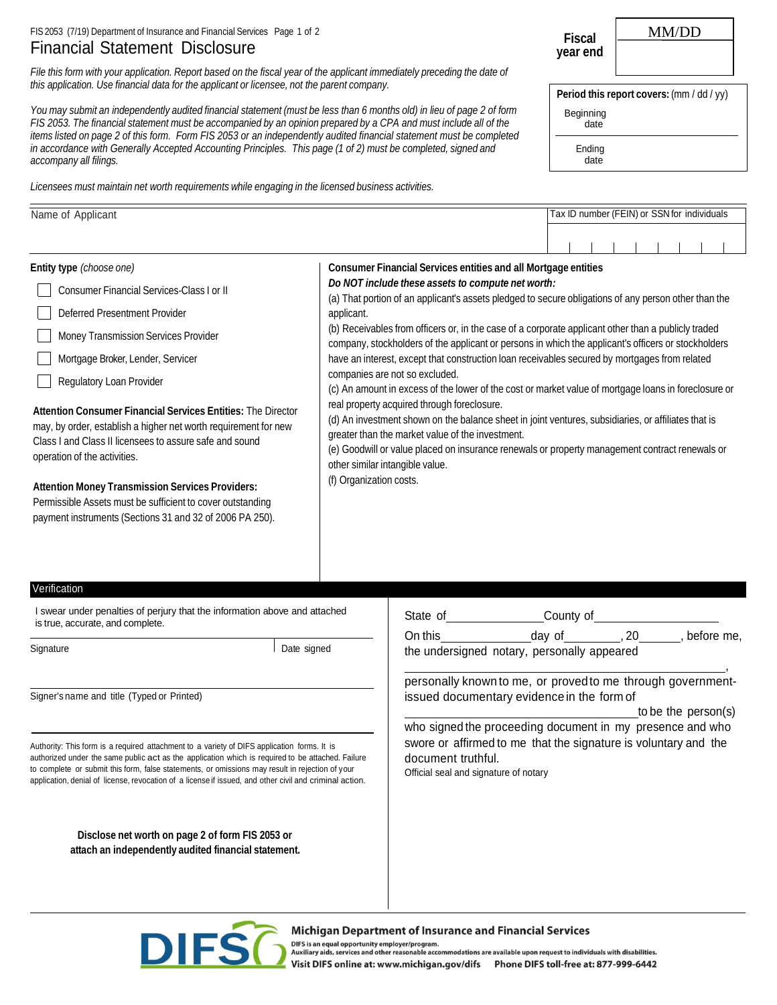## FIS 2053 (7/19) Department of Insurance and Financial Services Page 1 of 2 Financial Statement Disclosure

*File this form with your application. Report based on the fiscal year of the applicant immediately preceding the date of this application. Use financial data for the applicant or licensee, not the parent company.*

*You may submit an independently audited financial statement (must be less than 6 months old) in lieu of page 2 of form FIS 2053. The financial statement must be accompanied by an opinion prepared by a CPA and must include all of the items listed on page 2 of this form. Form FIS 2053 or an independently audited financial statement must be completed in accordance with Generally Accepted Accounting Principles. This page (1 of 2) must be completed, signed and accompany all filings.*

*Licensees must maintain net worth requirements while engaging in the licensed business activities.*

| Fiscal   |  |
|----------|--|
| year end |  |

MM/DD

Period this report covers:  $(\text{mm } / \text{ dd } / \text{ yy})$ 

Beginning date

> Ending date

| Name of Applicant                                                                                                                                                                                                          | Tax ID number (FEIN) or SSN for individuals                                                                                                                                                                                                                                                                                                 |
|----------------------------------------------------------------------------------------------------------------------------------------------------------------------------------------------------------------------------|---------------------------------------------------------------------------------------------------------------------------------------------------------------------------------------------------------------------------------------------------------------------------------------------------------------------------------------------|
|                                                                                                                                                                                                                            |                                                                                                                                                                                                                                                                                                                                             |
| Entity type (choose one)                                                                                                                                                                                                   | Consumer Financial Services entities and all Mortgage entities                                                                                                                                                                                                                                                                              |
| Consumer Financial Services-Class I or II                                                                                                                                                                                  | Do NOT include these assets to compute net worth:<br>(a) That portion of an applicant's assets pledged to secure obligations of any person other than the                                                                                                                                                                                   |
| Deferred Presentment Provider                                                                                                                                                                                              | applicant.                                                                                                                                                                                                                                                                                                                                  |
| Money Transmission Services Provider                                                                                                                                                                                       | (b) Receivables from officers or, in the case of a corporate applicant other than a publicly traded<br>company, stockholders of the applicant or persons in which the applicant's officers or stockholders                                                                                                                                  |
| Mortgage Broker, Lender, Servicer                                                                                                                                                                                          | have an interest, except that construction loan receivables secured by mortgages from related                                                                                                                                                                                                                                               |
| Regulatory Loan Provider                                                                                                                                                                                                   | companies are not so excluded.<br>(c) An amount in excess of the lower of the cost or market value of mortgage loans in foreclosure or                                                                                                                                                                                                      |
| Attention Consumer Financial Services Entities: The Director<br>may, by order, establish a higher net worth requirement for new<br>Class I and Class II licensees to assure safe and sound<br>operation of the activities. | real property acquired through foreclosure.<br>(d) An investment shown on the balance sheet in joint ventures, subsidiaries, or affiliates that is<br>greater than the market value of the investment.<br>(e) Goodwill or value placed on insurance renewals or property management contract renewals or<br>other similar intangible value. |

(f) Organization costs.

**Attention Money Transmission Services Providers:**  Permissible Assets must be sufficient to cover outstanding payment instruments (Sections 31 and 32 of 2006 PA 250).

## Verification Certification Certification Certification Certification Certification Certification Certification

I swear under penalties of perjury that the information above and attached is true, accurate, and complete.

authorized under the same public act as the application which is required to be attached. Failure document truthful.<br>to complete or submit this form, false statements, or omissions may result in rejection of your to complete or submit this form, false statements, or omissions may result in rejection of your [1] Official seal and signature of notary<br>application, denial of license, revocation of a license if issued, and other civil a

**Disclose net worth on page 2 of form FIS 2053 or attach an independently audited financial statement.**

| I swear under penalties of perjury that the information above and attached<br>is true, accurate, and complete. |             | State of | County of                                             |            |
|----------------------------------------------------------------------------------------------------------------|-------------|----------|-------------------------------------------------------|------------|
| Sianature                                                                                                      | Date signed | On this  | dav of<br>the undersigned notary, personally appeared | before me. |
|                                                                                                                |             |          |                                                       |            |

personally known to me, or proved to me through government-Signer's name and title (Typed or Printed) issued documentary evidence in the form of

to be the person(s)

who signed the proceeding document in my presence and who Authority: This form is a required attachment to a variety of DIFS application forms. It is **Summer Authority and the signature is voluntary and the**